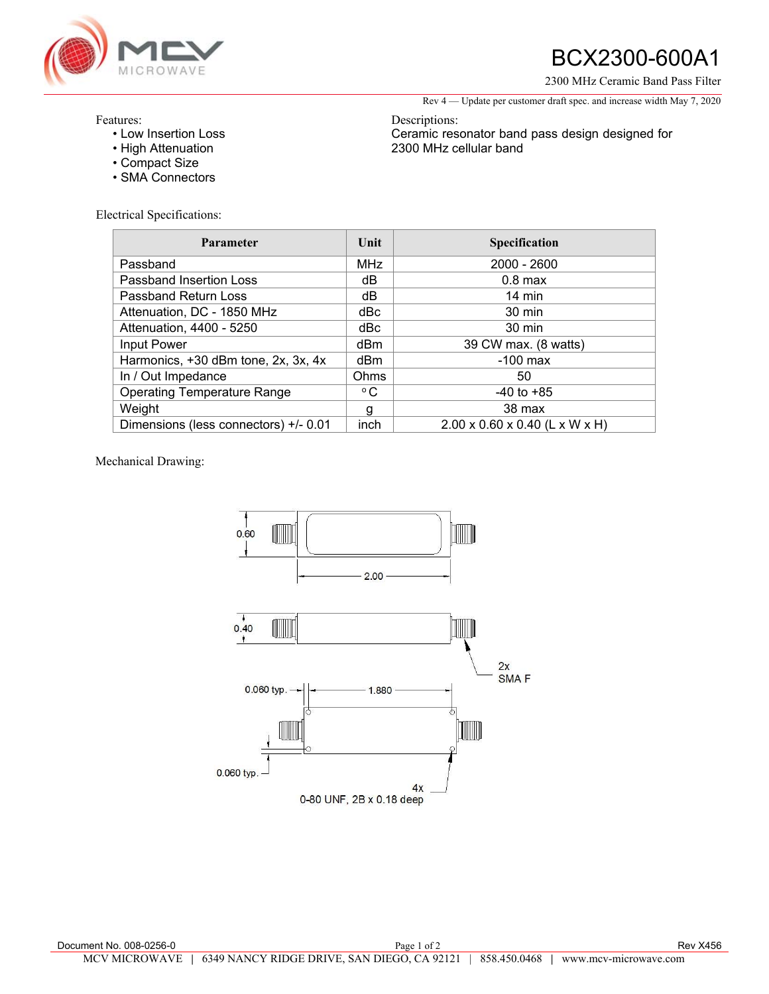

# BCX2300-600A1

2300 MHz Ceramic Band Pass Filter

Rev 4 — Update per customer draft spec. and increase width May 7, 2020

Ceramic resonator band pass design designed for

### Features:

- Low Insertion Loss
- High Attenuation
- Compact Size
- SMA Connectors

Electrical Specifications:

| <b>Parameter</b>                      | Unit            | <b>Specification</b>                       |
|---------------------------------------|-----------------|--------------------------------------------|
| Passband                              | <b>MHz</b>      | 2000 - 2600                                |
| Passband Insertion Loss               | dB              | $0.8$ max                                  |
| Passband Return Loss                  | dB              | $14 \text{ min}$                           |
| Attenuation, DC - 1850 MHz            | dBc             | 30 min                                     |
| Attenuation, 4400 - 5250              | dBc             | $30 \text{ min}$                           |
| Input Power                           | d <sub>Bm</sub> | 39 CW max. (8 watts)                       |
| Harmonics, +30 dBm tone, 2x, 3x, 4x   | d <sub>Bm</sub> | $-100$ max                                 |
| In / Out Impedance                    | Ohms            | 50                                         |
| <b>Operating Temperature Range</b>    | $^{\circ}$ C    | $-40$ to $+85$                             |
| Weight                                | g               | 38 max                                     |
| Dimensions (less connectors) +/- 0.01 | inch            | $2.00 \times 0.60 \times 0.40$ (L x W x H) |

Descriptions:

2300 MHz cellular band

#### Mechanical Drawing: